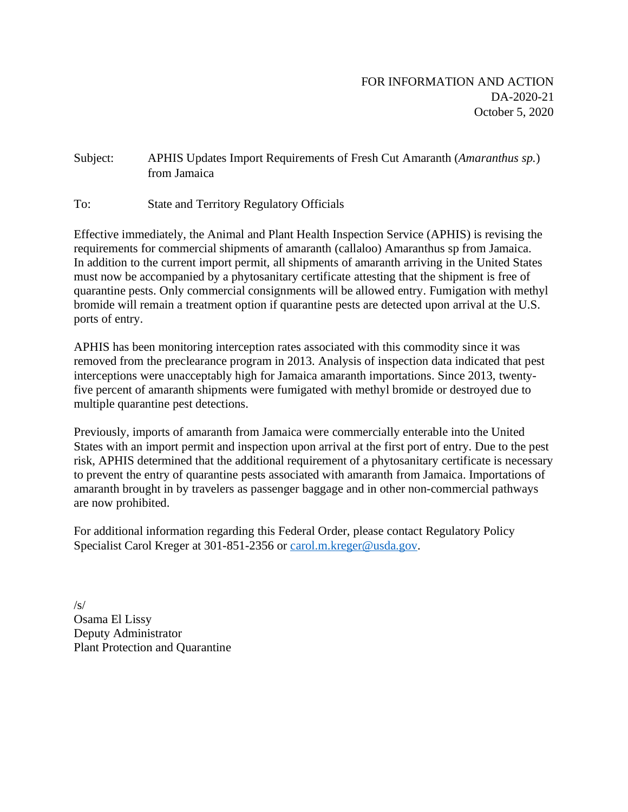### Subject: APHIS Updates Import Requirements of Fresh Cut Amaranth (*Amaranthus sp.*) from Jamaica

To: State and Territory Regulatory Officials

Effective immediately, the Animal and Plant Health Inspection Service (APHIS) is revising the requirements for commercial shipments of amaranth (callaloo) Amaranthus sp from Jamaica. In addition to the current import permit, all shipments of amaranth arriving in the United States must now be accompanied by a phytosanitary certificate attesting that the shipment is free of quarantine pests. Only commercial consignments will be allowed entry. Fumigation with methyl bromide will remain a treatment option if quarantine pests are detected upon arrival at the U.S. ports of entry.

APHIS has been monitoring interception rates associated with this commodity since it was removed from the preclearance program in 2013. Analysis of inspection data indicated that pest interceptions were unacceptably high for Jamaica amaranth importations. Since 2013, twentyfive percent of amaranth shipments were fumigated with methyl bromide or destroyed due to multiple quarantine pest detections.

Previously, imports of amaranth from Jamaica were commercially enterable into the United States with an import permit and inspection upon arrival at the first port of entry. Due to the pest risk, APHIS determined that the additional requirement of a phytosanitary certificate is necessary to prevent the entry of quarantine pests associated with amaranth from Jamaica. Importations of amaranth brought in by travelers as passenger baggage and in other non-commercial pathways are now prohibited.

For additional information regarding this Federal Order, please contact Regulatory Policy Specialist Carol Kreger at 301-851-2356 or [carol.m.kreger@usda.gov.](mailto:carol.m.kreger@usda.gov)

 $/s/$ Osama El Lissy Deputy Administrator Plant Protection and Quarantine